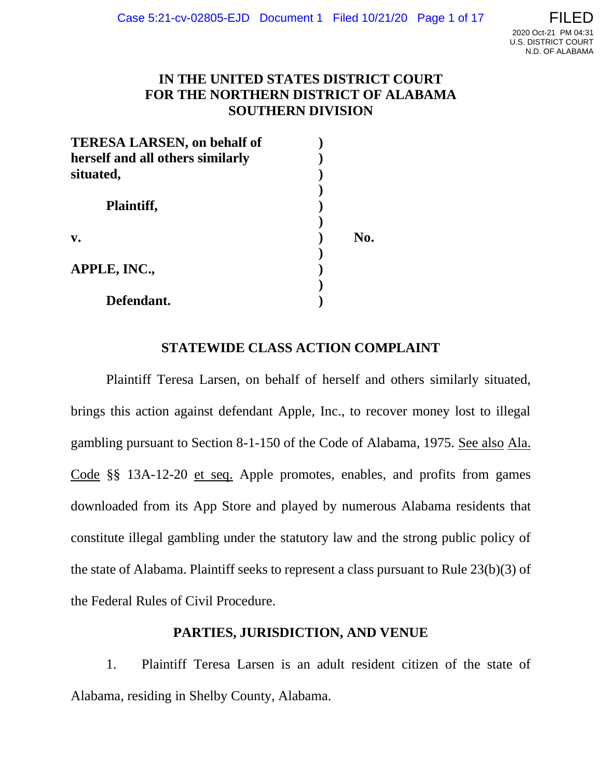# **IN THE UNITED STATES DISTRICT COURT FOR THE NORTHERN DISTRICT OF ALABAMA SOUTHERN DIVISION**

| <b>TERESA LARSEN, on behalf of</b> |     |
|------------------------------------|-----|
| herself and all others similarly   |     |
| situated,                          |     |
|                                    |     |
| Plaintiff,                         |     |
|                                    |     |
| $V_{\bullet}$                      | No. |
|                                    |     |
| APPLE, INC.,                       |     |
|                                    |     |
| Defendant.                         |     |

# **STATEWIDE CLASS ACTION COMPLAINT**

Plaintiff Teresa Larsen, on behalf of herself and others similarly situated, brings this action against defendant Apple, Inc., to recover money lost to illegal gambling pursuant to Section 8-1-150 of the Code of Alabama, 1975. See also Ala. Code §§ 13A-12-20 et seq. Apple promotes, enables, and profits from games downloaded from its App Store and played by numerous Alabama residents that constitute illegal gambling under the statutory law and the strong public policy of the state of Alabama. Plaintiff seeks to represent a class pursuant to Rule 23(b)(3) of the Federal Rules of Civil Procedure.

# **PARTIES, JURISDICTION, AND VENUE**

1. Plaintiff Teresa Larsen is an adult resident citizen of the state of Alabama, residing in Shelby County, Alabama.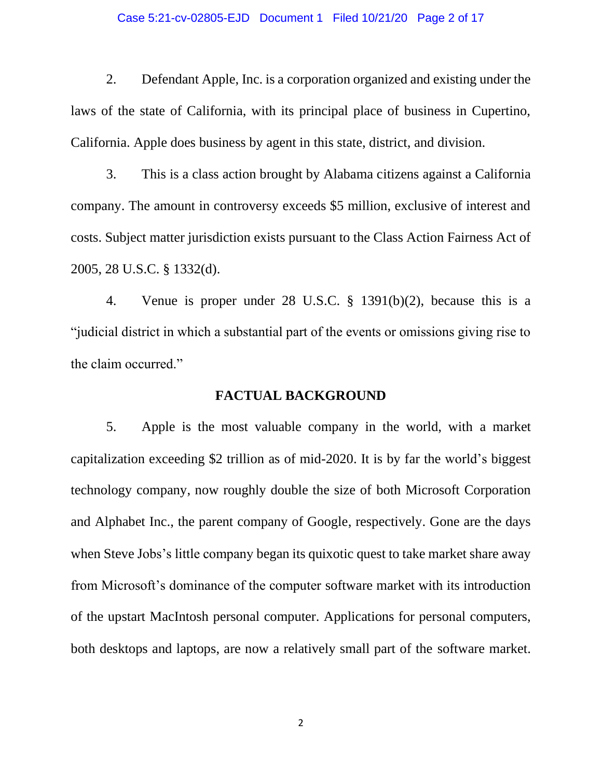#### Case 5:21-cv-02805-EJD Document 1 Filed 10/21/20 Page 2 of 17

2. Defendant Apple, Inc. is a corporation organized and existing under the laws of the state of California, with its principal place of business in Cupertino, California. Apple does business by agent in this state, district, and division.

3. This is a class action brought by Alabama citizens against a California company. The amount in controversy exceeds \$5 million, exclusive of interest and costs. Subject matter jurisdiction exists pursuant to the Class Action Fairness Act of 2005, 28 U.S.C. § 1332(d).

4. Venue is proper under 28 U.S.C. § 1391(b)(2), because this is a "judicial district in which a substantial part of the events or omissions giving rise to the claim occurred."

### **FACTUAL BACKGROUND**

5. Apple is the most valuable company in the world, with a market capitalization exceeding \$2 trillion as of mid-2020. It is by far the world's biggest technology company, now roughly double the size of both Microsoft Corporation and Alphabet Inc., the parent company of Google, respectively. Gone are the days when Steve Jobs's little company began its quixotic quest to take market share away from Microsoft's dominance of the computer software market with its introduction of the upstart MacIntosh personal computer. Applications for personal computers, both desktops and laptops, are now a relatively small part of the software market.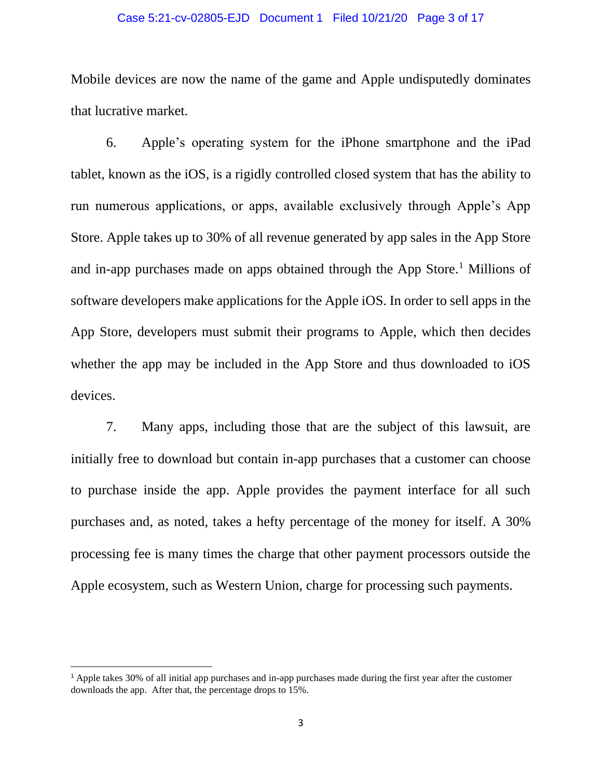#### Case 5:21-cv-02805-EJD Document 1 Filed 10/21/20 Page 3 of 17

Mobile devices are now the name of the game and Apple undisputedly dominates that lucrative market.

6. Apple's operating system for the iPhone smartphone and the iPad tablet, known as the iOS, is a rigidly controlled closed system that has the ability to run numerous applications, or apps, available exclusively through Apple's App Store. Apple takes up to 30% of all revenue generated by app sales in the App Store and in-app purchases made on apps obtained through the App Store.<sup>1</sup> Millions of software developers make applications for the Apple iOS. In order to sell apps in the App Store, developers must submit their programs to Apple, which then decides whether the app may be included in the App Store and thus downloaded to iOS devices.

7. Many apps, including those that are the subject of this lawsuit, are initially free to download but contain in-app purchases that a customer can choose to purchase inside the app. Apple provides the payment interface for all such purchases and, as noted, takes a hefty percentage of the money for itself. A 30% processing fee is many times the charge that other payment processors outside the Apple ecosystem, such as Western Union, charge for processing such payments.

<sup>1</sup> Apple takes 30% of all initial app purchases and in-app purchases made during the first year after the customer downloads the app. After that, the percentage drops to 15%.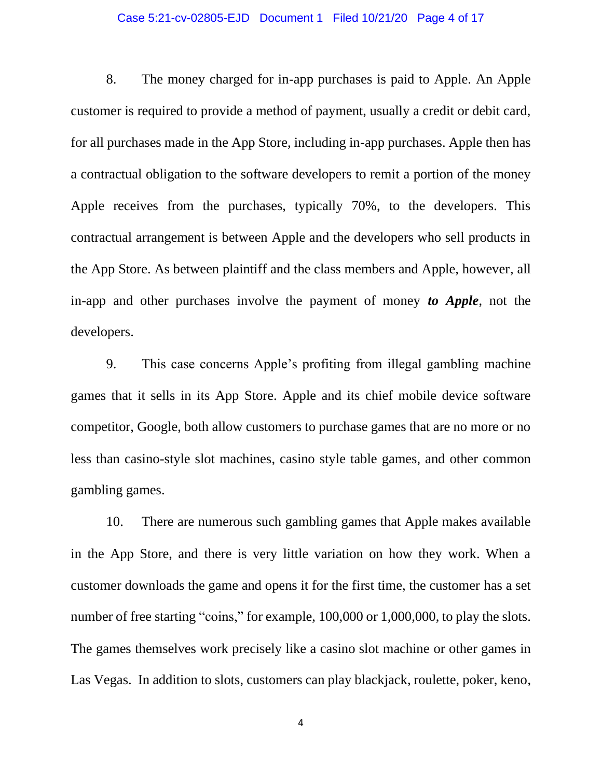#### Case 5:21-cv-02805-EJD Document 1 Filed 10/21/20 Page 4 of 17

8. The money charged for in-app purchases is paid to Apple. An Apple customer is required to provide a method of payment, usually a credit or debit card, for all purchases made in the App Store, including in-app purchases. Apple then has a contractual obligation to the software developers to remit a portion of the money Apple receives from the purchases, typically 70%, to the developers. This contractual arrangement is between Apple and the developers who sell products in the App Store. As between plaintiff and the class members and Apple, however, all in-app and other purchases involve the payment of money *to Apple*, not the developers.

9. This case concerns Apple's profiting from illegal gambling machine games that it sells in its App Store. Apple and its chief mobile device software competitor, Google, both allow customers to purchase games that are no more or no less than casino-style slot machines, casino style table games, and other common gambling games.

10. There are numerous such gambling games that Apple makes available in the App Store, and there is very little variation on how they work. When a customer downloads the game and opens it for the first time, the customer has a set number of free starting "coins," for example, 100,000 or 1,000,000, to play the slots. The games themselves work precisely like a casino slot machine or other games in Las Vegas. In addition to slots, customers can play blackjack, roulette, poker, keno,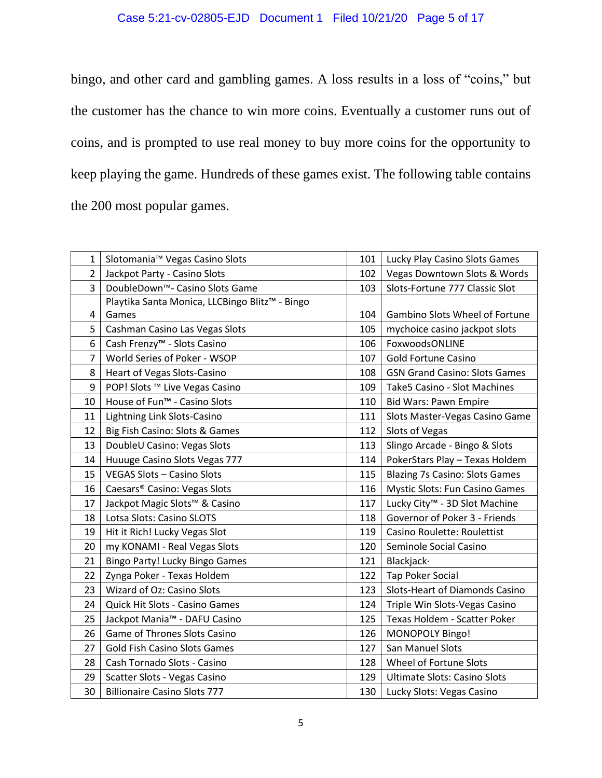# Case 5:21-cv-02805-EJD Document 1 Filed 10/21/20 Page 5 of 17

bingo, and other card and gambling games. A loss results in a loss of "coins," but the customer has the chance to win more coins. Eventually a customer runs out of coins, and is prompted to use real money to buy more coins for the opportunity to keep playing the game. Hundreds of these games exist. The following table contains the 200 most popular games.

| 1              | Slotomania <sup>™</sup> Vegas Casino Slots     | 101 | Lucky Play Casino Slots Games             |
|----------------|------------------------------------------------|-----|-------------------------------------------|
| $\overline{2}$ | Jackpot Party - Casino Slots                   | 102 | Vegas Downtown Slots & Words              |
| 3              | DoubleDown <sup>™</sup> - Casino Slots Game    | 103 | Slots-Fortune 777 Classic Slot            |
|                | Playtika Santa Monica, LLCBingo Blitz™ - Bingo |     |                                           |
| 4              | Games                                          | 104 | Gambino Slots Wheel of Fortune            |
| 5              | Cashman Casino Las Vegas Slots                 | 105 | mychoice casino jackpot slots             |
| 6              | Cash Frenzy <sup>™</sup> - Slots Casino        | 106 | FoxwoodsONLINE                            |
| $\overline{7}$ | World Series of Poker - WSOP                   | 107 | <b>Gold Fortune Casino</b>                |
| 8              | Heart of Vegas Slots-Casino                    | 108 | <b>GSN Grand Casino: Slots Games</b>      |
| 9              | POP! Slots ™ Live Vegas Casino                 | 109 | Take5 Casino - Slot Machines              |
| 10             | House of Fun <sup>™</sup> - Casino Slots       | 110 | <b>Bid Wars: Pawn Empire</b>              |
| 11             | Lightning Link Slots-Casino                    | 111 | Slots Master-Vegas Casino Game            |
| 12             | Big Fish Casino: Slots & Games                 | 112 | Slots of Vegas                            |
| 13             | DoubleU Casino: Vegas Slots                    | 113 | Slingo Arcade - Bingo & Slots             |
| 14             | Huuuge Casino Slots Vegas 777                  | 114 | PokerStars Play - Texas Holdem            |
| 15             | <b>VEGAS Slots - Casino Slots</b>              | 115 | <b>Blazing 7s Casino: Slots Games</b>     |
| 16             | Caesars® Casino: Vegas Slots                   | 116 | Mystic Slots: Fun Casino Games            |
| 17             | Jackpot Magic Slots™ & Casino                  | 117 | Lucky City <sup>™</sup> - 3D Slot Machine |
| 18             | Lotsa Slots: Casino SLOTS                      | 118 | Governor of Poker 3 - Friends             |
| 19             | Hit it Rich! Lucky Vegas Slot                  | 119 | Casino Roulette: Roulettist               |
| 20             | my KONAMI - Real Vegas Slots                   | 120 | Seminole Social Casino                    |
| 21             | Bingo Party! Lucky Bingo Games                 | 121 | Blackjack·                                |
| 22             | Zynga Poker - Texas Holdem                     | 122 | <b>Tap Poker Social</b>                   |
| 23             | Wizard of Oz: Casino Slots                     | 123 | Slots-Heart of Diamonds Casino            |
| 24             | Quick Hit Slots - Casino Games                 | 124 | Triple Win Slots-Vegas Casino             |
| 25             | Jackpot Mania™ - DAFU Casino                   | 125 | Texas Holdem - Scatter Poker              |
| 26             | <b>Game of Thrones Slots Casino</b>            | 126 | MONOPOLY Bingo!                           |
| 27             | <b>Gold Fish Casino Slots Games</b>            | 127 | San Manuel Slots                          |
| 28             | Cash Tornado Slots - Casino                    | 128 | Wheel of Fortune Slots                    |
| 29             | Scatter Slots - Vegas Casino                   | 129 | <b>Ultimate Slots: Casino Slots</b>       |
| 30             | <b>Billionaire Casino Slots 777</b>            | 130 | Lucky Slots: Vegas Casino                 |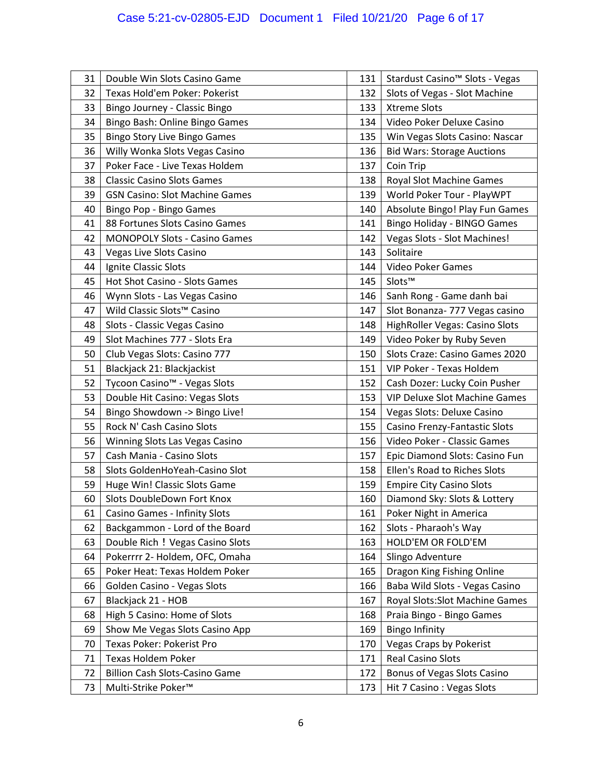# Case 5:21-cv-02805-EJD Document 1 Filed 10/21/20 Page 6 of 17

| 31 | Double Win Slots Casino Game             | 131 | Stardust Casino <sup>™</sup> Slots - Vegas |  |
|----|------------------------------------------|-----|--------------------------------------------|--|
| 32 | Texas Hold'em Poker: Pokerist            | 132 | Slots of Vegas - Slot Machine              |  |
| 33 | Bingo Journey - Classic Bingo            | 133 | <b>Xtreme Slots</b>                        |  |
| 34 | Bingo Bash: Online Bingo Games           | 134 | Video Poker Deluxe Casino                  |  |
| 35 | <b>Bingo Story Live Bingo Games</b>      | 135 | Win Vegas Slots Casino: Nascar             |  |
| 36 | Willy Wonka Slots Vegas Casino           | 136 | <b>Bid Wars: Storage Auctions</b>          |  |
| 37 | Poker Face - Live Texas Holdem           | 137 | Coin Trip                                  |  |
| 38 | <b>Classic Casino Slots Games</b>        | 138 | Royal Slot Machine Games                   |  |
| 39 | <b>GSN Casino: Slot Machine Games</b>    | 139 | World Poker Tour - PlayWPT                 |  |
| 40 | Bingo Pop - Bingo Games                  | 140 | Absolute Bingo! Play Fun Games             |  |
| 41 | 88 Fortunes Slots Casino Games           | 141 | Bingo Holiday - BINGO Games                |  |
| 42 | <b>MONOPOLY Slots - Casino Games</b>     | 142 | Vegas Slots - Slot Machines!               |  |
| 43 | Vegas Live Slots Casino                  | 143 | Solitaire                                  |  |
| 44 | Ignite Classic Slots                     | 144 | Video Poker Games                          |  |
| 45 | Hot Shot Casino - Slots Games            | 145 | Slots™                                     |  |
| 46 | Wynn Slots - Las Vegas Casino            | 146 | Sanh Rong - Game danh bai                  |  |
| 47 | Wild Classic Slots™ Casino               | 147 | Slot Bonanza- 777 Vegas casino             |  |
| 48 | Slots - Classic Vegas Casino             | 148 | HighRoller Vegas: Casino Slots             |  |
| 49 | Slot Machines 777 - Slots Era            | 149 | Video Poker by Ruby Seven                  |  |
| 50 | Club Vegas Slots: Casino 777             | 150 | Slots Craze: Casino Games 2020             |  |
| 51 | Blackjack 21: Blackjackist               | 151 | VIP Poker - Texas Holdem                   |  |
| 52 | Tycoon Casino <sup>™</sup> - Vegas Slots | 152 | Cash Dozer: Lucky Coin Pusher              |  |
| 53 | Double Hit Casino: Vegas Slots           | 153 | <b>VIP Deluxe Slot Machine Games</b>       |  |
| 54 | Bingo Showdown -> Bingo Live!            | 154 | Vegas Slots: Deluxe Casino                 |  |
| 55 | Rock N' Cash Casino Slots                | 155 | Casino Frenzy-Fantastic Slots              |  |
| 56 | Winning Slots Las Vegas Casino           | 156 | Video Poker - Classic Games                |  |
| 57 | Cash Mania - Casino Slots                | 157 | Epic Diamond Slots: Casino Fun             |  |
| 58 | Slots GoldenHoYeah-Casino Slot           | 158 | Ellen's Road to Riches Slots               |  |
| 59 | Huge Win! Classic Slots Game             | 159 | <b>Empire City Casino Slots</b>            |  |
| 60 | Slots DoubleDown Fort Knox               | 160 | Diamond Sky: Slots & Lottery               |  |
| 61 | <b>Casino Games - Infinity Slots</b>     | 161 | Poker Night in America                     |  |
| 62 | Backgammon - Lord of the Board           | 162 | Slots - Pharaoh's Way                      |  |
| 63 | Double Rich ! Vegas Casino Slots         | 163 | HOLD'EM OR FOLD'EM                         |  |
| 64 | Pokerrrr 2- Holdem, OFC, Omaha           | 164 | Slingo Adventure                           |  |
| 65 | Poker Heat: Texas Holdem Poker           | 165 | Dragon King Fishing Online                 |  |
| 66 | Golden Casino - Vegas Slots              | 166 | Baba Wild Slots - Vegas Casino             |  |
| 67 | Blackjack 21 - HOB                       | 167 | Royal Slots: Slot Machine Games            |  |
| 68 | High 5 Casino: Home of Slots             | 168 | Praia Bingo - Bingo Games                  |  |
| 69 | Show Me Vegas Slots Casino App           | 169 | <b>Bingo Infinity</b>                      |  |
| 70 | Texas Poker: Pokerist Pro                | 170 | <b>Vegas Craps by Pokerist</b>             |  |
| 71 | <b>Texas Holdem Poker</b>                | 171 | Real Casino Slots                          |  |
| 72 | <b>Billion Cash Slots-Casino Game</b>    | 172 | Bonus of Vegas Slots Casino                |  |
| 73 | Multi-Strike Poker™                      | 173 | Hit 7 Casino: Vegas Slots                  |  |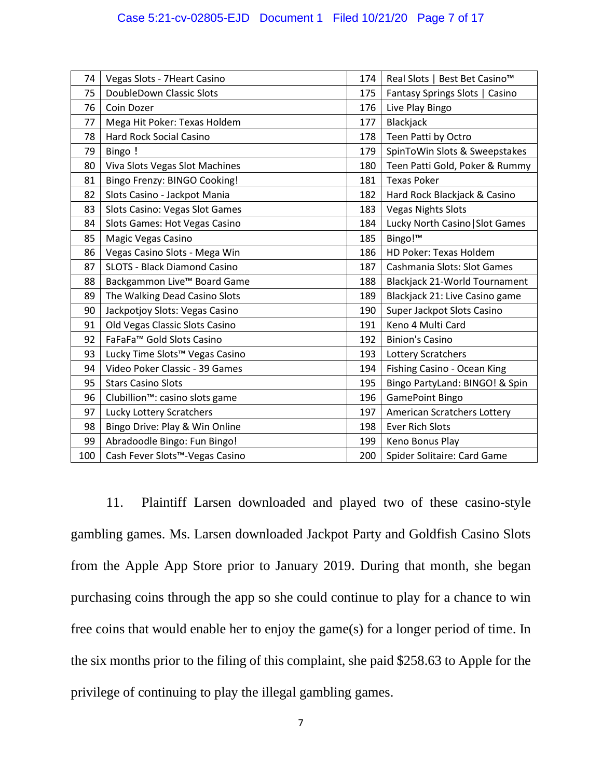| 74  | Vegas Slots - 7Heart Casino                 | 174 | Real Slots   Best Bet Casino <sup>™</sup> |
|-----|---------------------------------------------|-----|-------------------------------------------|
| 75  | DoubleDown Classic Slots                    | 175 | Fantasy Springs Slots   Casino            |
| 76  | Coin Dozer                                  | 176 | Live Play Bingo                           |
| 77  | Mega Hit Poker: Texas Holdem                | 177 | Blackjack                                 |
| 78  | <b>Hard Rock Social Casino</b>              | 178 | Teen Patti by Octro                       |
| 79  | Bingo !                                     | 179 | SpinToWin Slots & Sweepstakes             |
| 80  | Viva Slots Vegas Slot Machines              | 180 | Teen Patti Gold, Poker & Rummy            |
| 81  | Bingo Frenzy: BINGO Cooking!                | 181 | <b>Texas Poker</b>                        |
| 82  | Slots Casino - Jackpot Mania                | 182 | Hard Rock Blackjack & Casino              |
| 83  | Slots Casino: Vegas Slot Games              | 183 | <b>Vegas Nights Slots</b>                 |
| 84  | Slots Games: Hot Vegas Casino               | 184 | Lucky North Casino   Slot Games           |
| 85  | Magic Vegas Casino                          | 185 | Bingo!™                                   |
| 86  | Vegas Casino Slots - Mega Win               | 186 | HD Poker: Texas Holdem                    |
| 87  | <b>SLOTS - Black Diamond Casino</b>         | 187 | Cashmania Slots: Slot Games               |
| 88  | Backgammon Live™ Board Game                 | 188 | <b>Blackjack 21-World Tournament</b>      |
| 89  | The Walking Dead Casino Slots               | 189 | Blackjack 21: Live Casino game            |
| 90  | Jackpotjoy Slots: Vegas Casino              | 190 | Super Jackpot Slots Casino                |
| 91  | Old Vegas Classic Slots Casino              | 191 | Keno 4 Multi Card                         |
| 92  | FaFaFa™ Gold Slots Casino                   | 192 | <b>Binion's Casino</b>                    |
| 93  | Lucky Time Slots™ Vegas Casino              | 193 | Lottery Scratchers                        |
| 94  | Video Poker Classic - 39 Games              | 194 | Fishing Casino - Ocean King               |
| 95  | <b>Stars Casino Slots</b>                   | 195 | Bingo PartyLand: BINGO! & Spin            |
| 96  | Clubillion <sup>™</sup> : casino slots game | 196 | <b>GamePoint Bingo</b>                    |
| 97  | Lucky Lottery Scratchers                    | 197 | American Scratchers Lottery               |
| 98  | Bingo Drive: Play & Win Online              | 198 | <b>Ever Rich Slots</b>                    |
| 99  | Abradoodle Bingo: Fun Bingo!                | 199 | Keno Bonus Play                           |
| 100 | Cash Fever Slots <sup>™</sup> -Vegas Casino | 200 | Spider Solitaire: Card Game               |

11. Plaintiff Larsen downloaded and played two of these casino-style gambling games. Ms. Larsen downloaded Jackpot Party and Goldfish Casino Slots from the Apple App Store prior to January 2019. During that month, she began purchasing coins through the app so she could continue to play for a chance to win free coins that would enable her to enjoy the game(s) for a longer period of time. In the six months prior to the filing of this complaint, she paid \$258.63 to Apple for the privilege of continuing to play the illegal gambling games.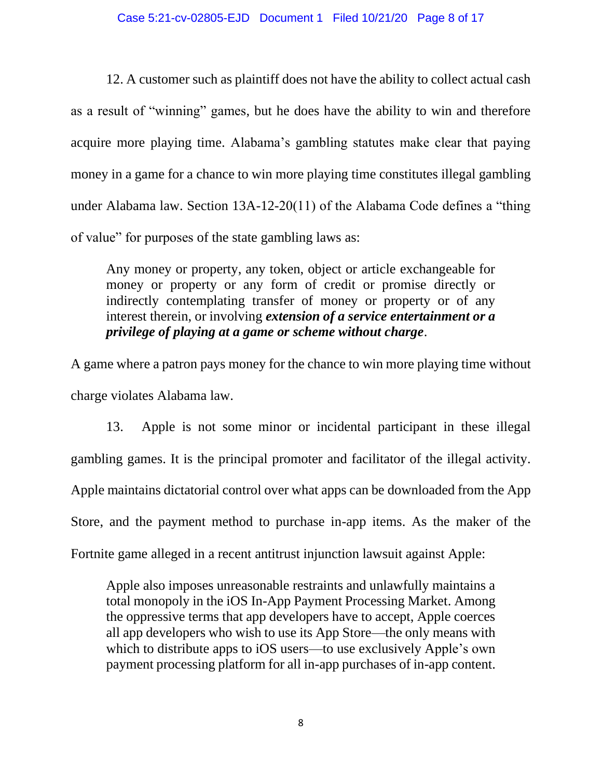#### Case 5:21-cv-02805-EJD Document 1 Filed 10/21/20 Page 8 of 17

12. A customer such as plaintiff does not have the ability to collect actual cash as a result of "winning" games, but he does have the ability to win and therefore acquire more playing time. Alabama's gambling statutes make clear that paying money in a game for a chance to win more playing time constitutes illegal gambling under Alabama law. Section 13A-12-20(11) of the Alabama Code defines a "thing of value" for purposes of the state gambling laws as:

Any money or property, any token, object or article exchangeable for money or property or any form of credit or promise directly or indirectly contemplating transfer of money or property or of any interest therein, or involving *extension of a service entertainment or a privilege of playing at a game or scheme without charge*.

A game where a patron pays money for the chance to win more playing time without charge violates Alabama law.

13. Apple is not some minor or incidental participant in these illegal gambling games. It is the principal promoter and facilitator of the illegal activity. Apple maintains dictatorial control over what apps can be downloaded from the App Store, and the payment method to purchase in-app items. As the maker of the Fortnite game alleged in a recent antitrust injunction lawsuit against Apple:

Apple also imposes unreasonable restraints and unlawfully maintains a total monopoly in the iOS In-App Payment Processing Market. Among the oppressive terms that app developers have to accept, Apple coerces all app developers who wish to use its App Store—the only means with which to distribute apps to iOS users—to use exclusively Apple's own payment processing platform for all in-app purchases of in-app content.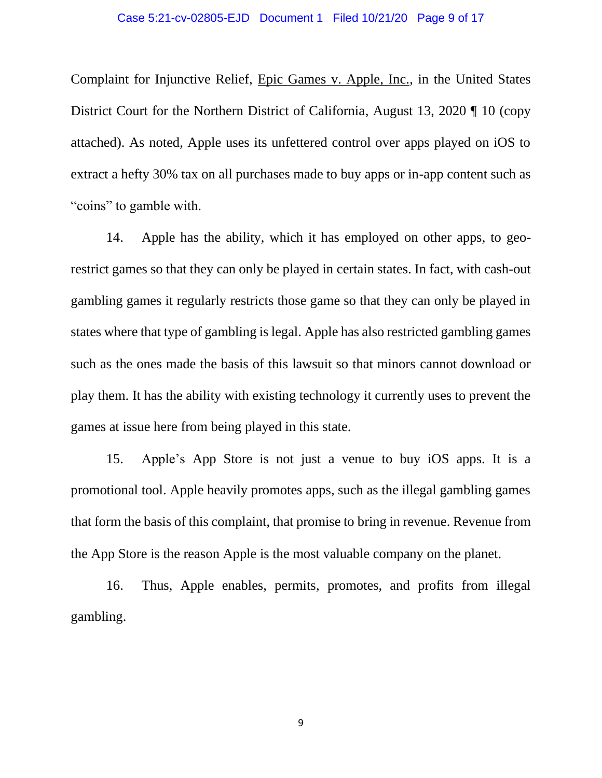Complaint for Injunctive Relief, Epic Games v. Apple, Inc., in the United States District Court for the Northern District of California, August 13, 2020 ¶ 10 (copy attached). As noted, Apple uses its unfettered control over apps played on iOS to extract a hefty 30% tax on all purchases made to buy apps or in-app content such as "coins" to gamble with.

14. Apple has the ability, which it has employed on other apps, to georestrict games so that they can only be played in certain states. In fact, with cash-out gambling games it regularly restricts those game so that they can only be played in states where that type of gambling is legal. Apple has also restricted gambling games such as the ones made the basis of this lawsuit so that minors cannot download or play them. It has the ability with existing technology it currently uses to prevent the games at issue here from being played in this state.

15. Apple's App Store is not just a venue to buy iOS apps. It is a promotional tool. Apple heavily promotes apps, such as the illegal gambling games that form the basis of this complaint, that promise to bring in revenue. Revenue from the App Store is the reason Apple is the most valuable company on the planet.

16. Thus, Apple enables, permits, promotes, and profits from illegal gambling.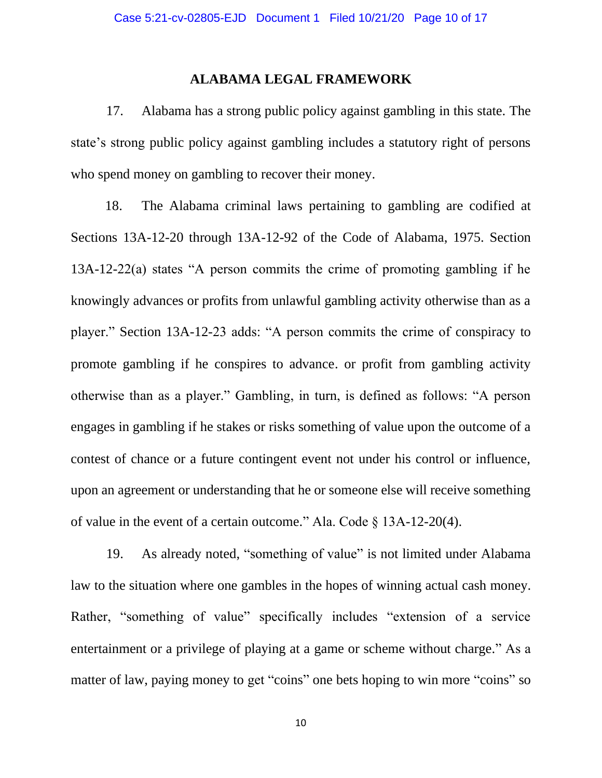### **ALABAMA LEGAL FRAMEWORK**

17. Alabama has a strong public policy against gambling in this state. The state's strong public policy against gambling includes a statutory right of persons who spend money on gambling to recover their money.

 18. The Alabama criminal laws pertaining to gambling are codified at Sections 13A-12-20 through 13A-12-92 of the Code of Alabama, 1975. Section 13A-12-22(a) states "A person commits the crime of promoting gambling if he knowingly advances or profits from unlawful gambling activity otherwise than as a player." Section 13A-12-23 adds: "A person commits the crime of conspiracy to promote gambling if he conspires to advance. or profit from gambling activity otherwise than as a player." Gambling, in turn, is defined as follows: "A person engages in gambling if he stakes or risks something of value upon the outcome of a contest of chance or a future contingent event not under his control or influence, upon an agreement or understanding that he or someone else will receive something of value in the event of a certain outcome." Ala. Code § 13A-12-20(4).

19. As already noted, "something of value" is not limited under Alabama law to the situation where one gambles in the hopes of winning actual cash money. Rather, "something of value" specifically includes "extension of a service entertainment or a privilege of playing at a game or scheme without charge." As a matter of law, paying money to get "coins" one bets hoping to win more "coins" so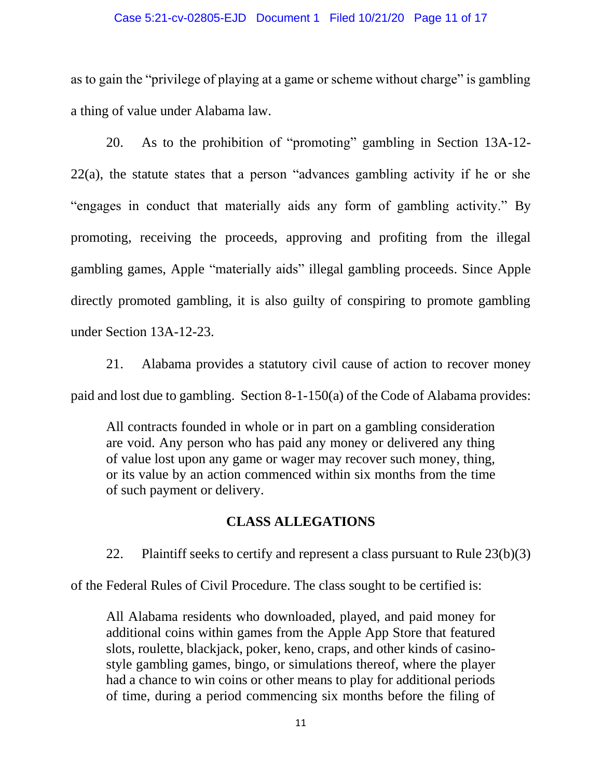#### Case 5:21-cv-02805-EJD Document 1 Filed 10/21/20 Page 11 of 17

as to gain the "privilege of playing at a game or scheme without charge" is gambling a thing of value under Alabama law.

20. As to the prohibition of "promoting" gambling in Section 13A-12- 22(a), the statute states that a person "advances gambling activity if he or she "engages in conduct that materially aids any form of gambling activity." By promoting, receiving the proceeds, approving and profiting from the illegal gambling games, Apple "materially aids" illegal gambling proceeds. Since Apple directly promoted gambling, it is also guilty of conspiring to promote gambling under Section 13A-12-23.

21. Alabama provides a statutory civil cause of action to recover money paid and lost due to gambling. Section 8-1-150(a) of the Code of Alabama provides:

All contracts founded in whole or in part on a gambling consideration are void. Any person who has paid any money or delivered any thing of value lost upon any game or wager may recover such money, thing, or its value by an action commenced within six months from the time of such payment or delivery.

### **CLASS ALLEGATIONS**

22. Plaintiff seeks to certify and represent a class pursuant to Rule 23(b)(3)

of the Federal Rules of Civil Procedure. The class sought to be certified is:

All Alabama residents who downloaded, played, and paid money for additional coins within games from the Apple App Store that featured slots, roulette, blackjack, poker, keno, craps, and other kinds of casinostyle gambling games, bingo, or simulations thereof, where the player had a chance to win coins or other means to play for additional periods of time, during a period commencing six months before the filing of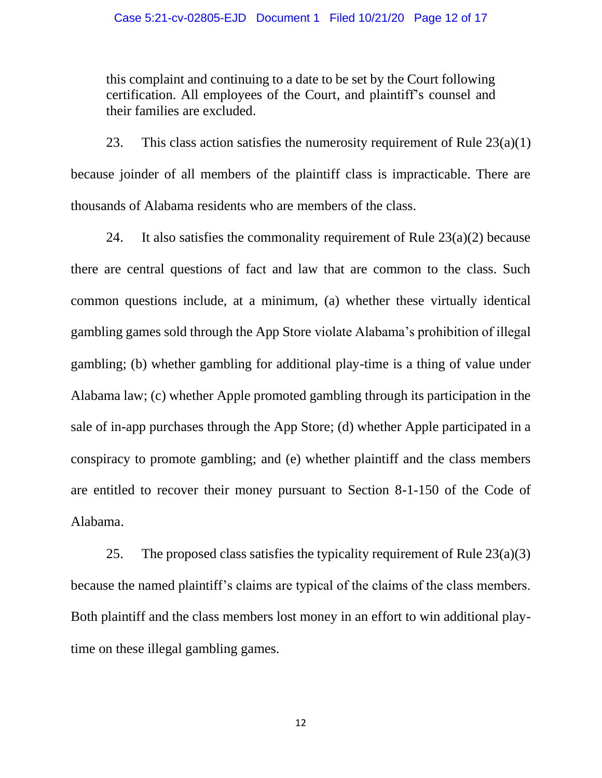this complaint and continuing to a date to be set by the Court following certification. All employees of the Court, and plaintiff's counsel and their families are excluded.

23. This class action satisfies the numerosity requirement of Rule  $23(a)(1)$ because joinder of all members of the plaintiff class is impracticable. There are thousands of Alabama residents who are members of the class.

24. It also satisfies the commonality requirement of Rule  $23(a)(2)$  because there are central questions of fact and law that are common to the class. Such common questions include, at a minimum, (a) whether these virtually identical gambling games sold through the App Store violate Alabama's prohibition of illegal gambling; (b) whether gambling for additional play-time is a thing of value under Alabama law; (c) whether Apple promoted gambling through its participation in the sale of in-app purchases through the App Store; (d) whether Apple participated in a conspiracy to promote gambling; and (e) whether plaintiff and the class members are entitled to recover their money pursuant to Section 8-1-150 of the Code of Alabama.

25. The proposed class satisfies the typicality requirement of Rule  $23(a)(3)$ because the named plaintiff's claims are typical of the claims of the class members. Both plaintiff and the class members lost money in an effort to win additional playtime on these illegal gambling games.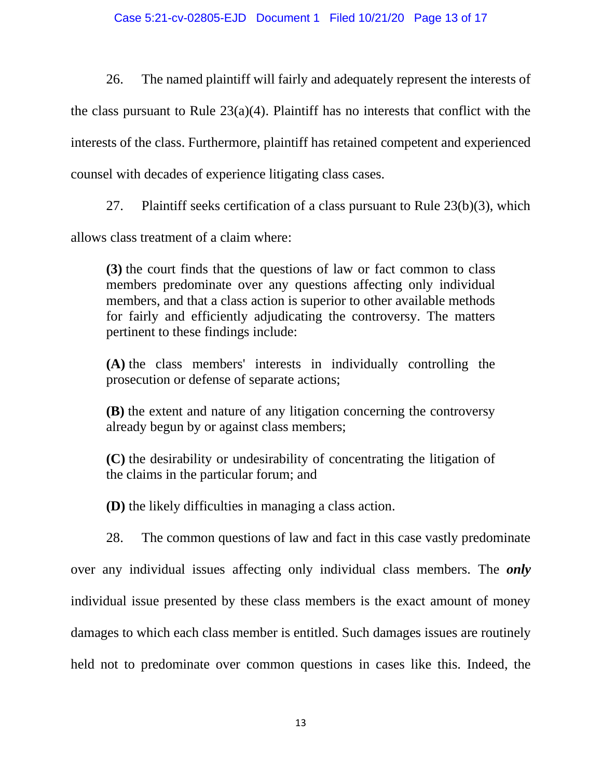26. The named plaintiff will fairly and adequately represent the interests of the class pursuant to Rule 23(a)(4). Plaintiff has no interests that conflict with the interests of the class. Furthermore, plaintiff has retained competent and experienced counsel with decades of experience litigating class cases.

27. Plaintiff seeks certification of a class pursuant to Rule 23(b)(3), which

allows class treatment of a claim where:

**(3)** the court finds that the questions of law or fact common to class members predominate over any questions affecting only individual members, and that a class action is superior to other available methods for fairly and efficiently adjudicating the controversy. The matters pertinent to these findings include:

**(A)** the class members' interests in individually controlling the prosecution or defense of separate actions;

**(B)** the extent and nature of any litigation concerning the controversy already begun by or against class members;

**(C)** the desirability or undesirability of concentrating the litigation of the claims in the particular forum; and

**(D)** the likely difficulties in managing a class action.

28. The common questions of law and fact in this case vastly predominate over any individual issues affecting only individual class members. The *only* individual issue presented by these class members is the exact amount of money damages to which each class member is entitled. Such damages issues are routinely held not to predominate over common questions in cases like this. Indeed, the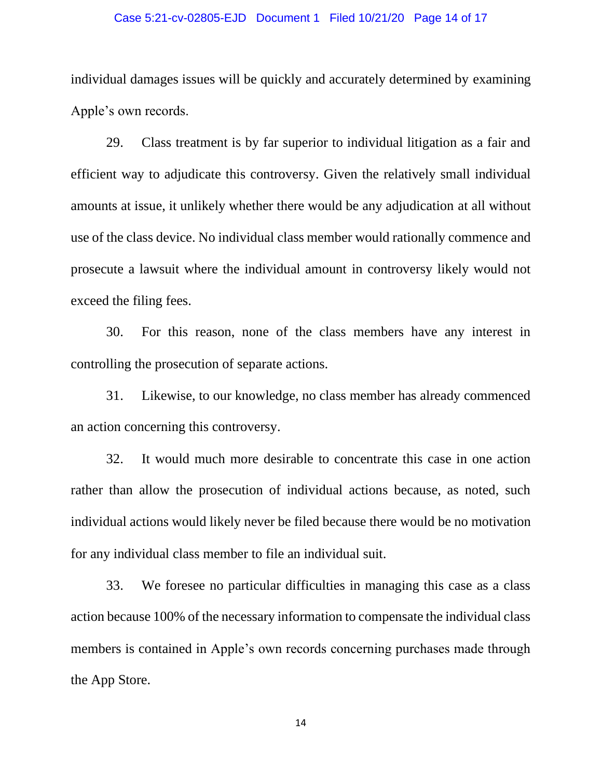#### Case 5:21-cv-02805-EJD Document 1 Filed 10/21/20 Page 14 of 17

individual damages issues will be quickly and accurately determined by examining Apple's own records.

29. Class treatment is by far superior to individual litigation as a fair and efficient way to adjudicate this controversy. Given the relatively small individual amounts at issue, it unlikely whether there would be any adjudication at all without use of the class device. No individual class member would rationally commence and prosecute a lawsuit where the individual amount in controversy likely would not exceed the filing fees.

30. For this reason, none of the class members have any interest in controlling the prosecution of separate actions.

31. Likewise, to our knowledge, no class member has already commenced an action concerning this controversy.

32. It would much more desirable to concentrate this case in one action rather than allow the prosecution of individual actions because, as noted, such individual actions would likely never be filed because there would be no motivation for any individual class member to file an individual suit.

33. We foresee no particular difficulties in managing this case as a class action because 100% of the necessary information to compensate the individual class members is contained in Apple's own records concerning purchases made through the App Store.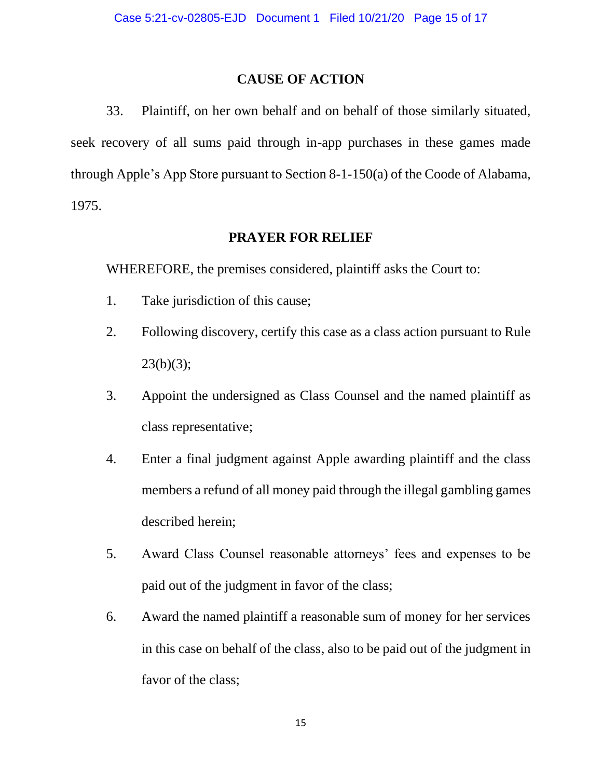# **CAUSE OF ACTION**

33. Plaintiff, on her own behalf and on behalf of those similarly situated, seek recovery of all sums paid through in-app purchases in these games made through Apple's App Store pursuant to Section 8-1-150(a) of the Coode of Alabama, 1975.

# **PRAYER FOR RELIEF**

WHEREFORE, the premises considered, plaintiff asks the Court to:

- 1. Take jurisdiction of this cause;
- 2. Following discovery, certify this case as a class action pursuant to Rule  $23(b)(3);$
- 3. Appoint the undersigned as Class Counsel and the named plaintiff as class representative;
- 4. Enter a final judgment against Apple awarding plaintiff and the class members a refund of all money paid through the illegal gambling games described herein;
- 5. Award Class Counsel reasonable attorneys' fees and expenses to be paid out of the judgment in favor of the class;
- 6. Award the named plaintiff a reasonable sum of money for her services in this case on behalf of the class, also to be paid out of the judgment in favor of the class;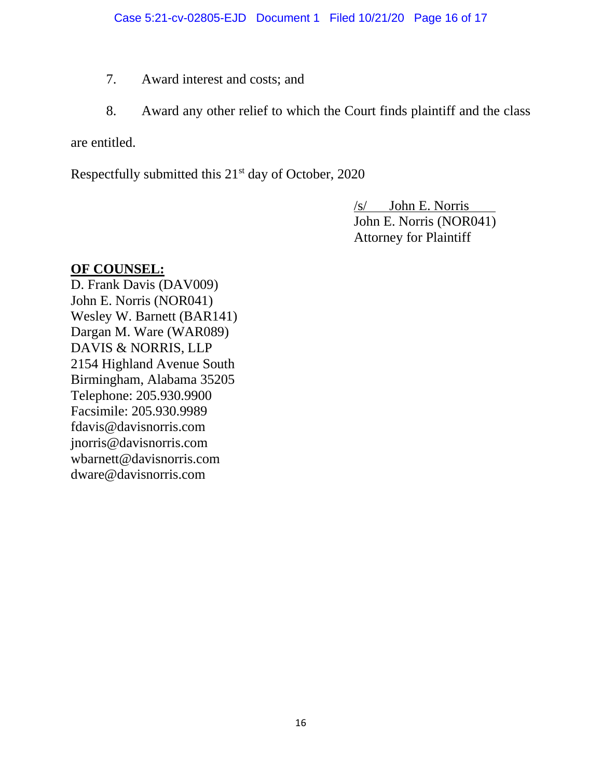- 7. Award interest and costs; and
- 8. Award any other relief to which the Court finds plaintiff and the class

are entitled.

Respectfully submitted this  $21<sup>st</sup>$  day of October, 2020

/s/ John E. Norris John E. Norris (NOR041) Attorney for Plaintiff

# **OF COUNSEL:**

D. Frank Davis (DAV009) John E. Norris (NOR041) Wesley W. Barnett (BAR141) Dargan M. Ware (WAR089) DAVIS & NORRIS, LLP 2154 Highland Avenue South Birmingham, Alabama 35205 Telephone: 205.930.9900 Facsimile: 205.930.9989 fdavis@davisnorris.com jnorris@davisnorris.com wbarnett@davisnorris.com dware@davisnorris.com